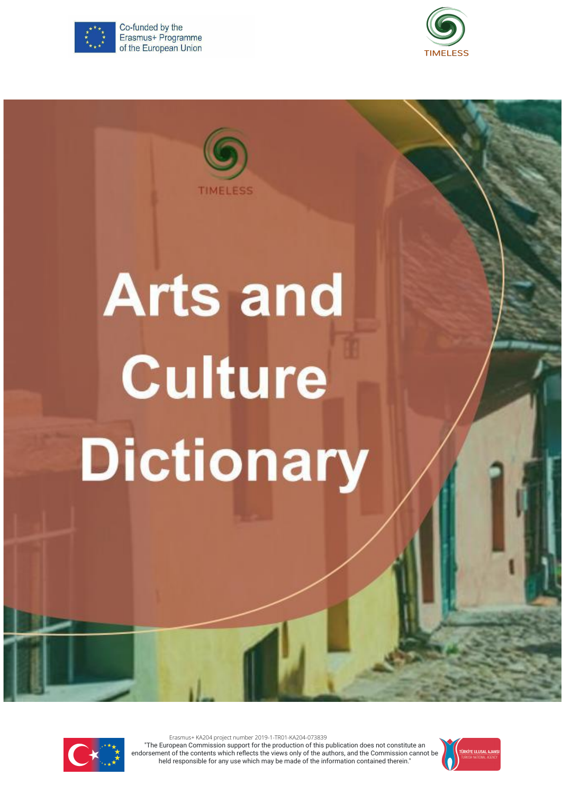

Co-funded by the Erasmus+ Programme of the European Union





# **Arts and Culture Dictionary**



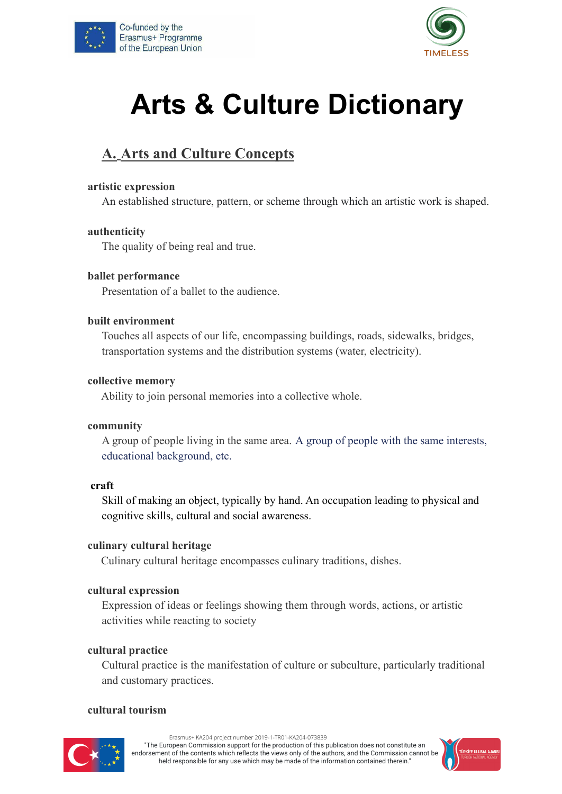



# **Arts & Culture Dictionary**

# **A. Arts and Culture Concepts**

#### **artistic expression**

An established structure, pattern, or scheme through which an artistic work is shaped.

#### **authenticity**

The quality of being real and true.

#### **ballet performance**

Presentation of a ballet to the audience.

#### **built environment**

Touches all aspects of our life, encompassing buildings, roads, sidewalks, bridges, transportation systems and the distribution systems (water, electricity).

#### **collective memory**

Ability to join personal memories into a collective whole.

#### **community**

A group of people living in the same area. A [group](https://dictionary.cambridge.org/dictionary/english-russian/group) of [people](https://dictionary.cambridge.org/dictionary/english-russian/people) with the same interests, educational background, etc.

#### **craft**

Skill of making an object, typically by hand. An occupation leading to physical and cognitive skills, cultural and social awareness.

#### **culinary cultural heritage**

Culinary cultural heritage encompasses culinary traditions, dishes.

#### **cultural expression**

Expression of ideas or feelings showing them through words, actions, or artistic activities while reacting to society

#### **cultural practice**

Cultural practice is the manifestation of culture or subculture, particularly traditional and customary practices.

#### **cultural tourism**



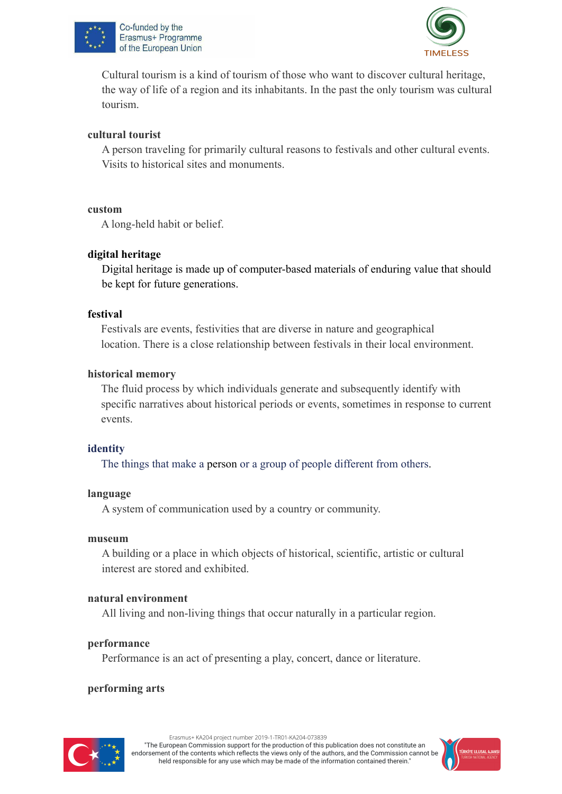



Cultural tourism is a kind of tourism of those who want to discover cultural heritage, the way of life of a region and its inhabitants. In the past the only tourism was cultural tourism.

#### **cultural tourist**

A person traveling for primarily cultural reasons to festivals and other cultural events. Visits to historical sites and monuments.

#### **custom**

A long-held habit or belief.

#### **digital heritage**

Digital heritage is made up of computer-based materials of enduring value that should be kept for future generations.

#### **festival**

Festivals are events, festivities that are diverse in nature and geographical location. There is a close relationship between festivals in their local environment.

#### **historical memory**

The fluid process by which individuals generate and subsequently identify with specific narratives about historical periods or events, sometimes in response to current events.

#### **identity**

The things that make a [person](https://dictionary.cambridge.org/dictionary/english-russian/person) or a [group](https://dictionary.cambridge.org/dictionary/english-russian/group) of [people](https://dictionary.cambridge.org/dictionary/english-russian/people) different from [others.](https://dictionary.cambridge.org/dictionary/english-russian/others)

#### **language**

A system of communication used by a country or community.

#### **museum**

A building or a place in which objects of historical, scientific, artistic or cultural interest are stored and exhibited.

#### **natural environment**

All living and non-living things that occur naturally in a particular region.

#### **performance**

Performance is an act of presenting a play, concert, dance or literature.

#### **performing arts**

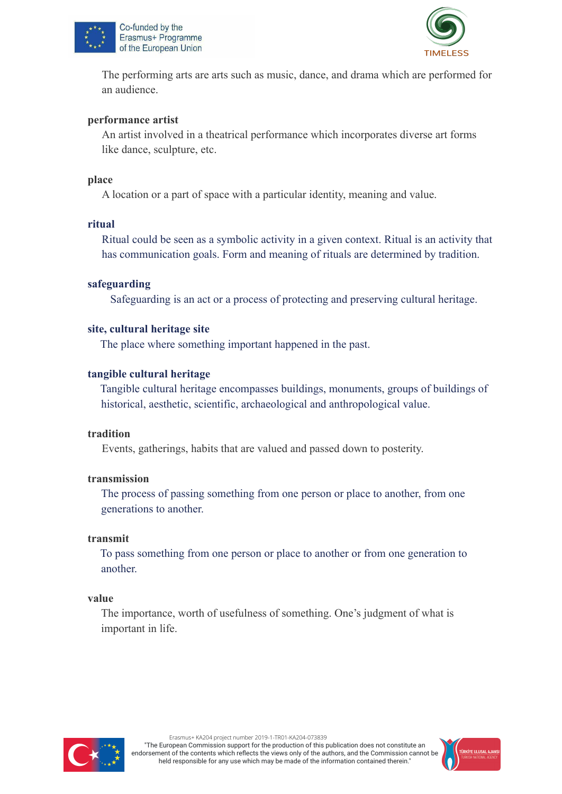



The performing arts are arts such as music, dance, and drama which are performed for an audience.

#### **performance artist**

An artist involved in a theatrical performance which incorporates diverse art forms like dance, sculpture, etc.

#### **place**

A location or a part of space with a particular identity, meaning and value.

#### **ritual**

Ritual could be seen as a symbolic activity in a given context. Ritual is an activity that has communication goals. Form and meaning of rituals are determined by tradition.

#### **safeguarding**

Safeguarding is an act or a process of protecting and preserving cultural heritage.

#### **site, cultural heritage site**

The [place](https://dictionary.cambridge.org/dictionary/english-russian/place) where something [important](https://dictionary.cambridge.org/dictionary/english-russian/important) [happened](https://dictionary.cambridge.org/dictionary/english-russian/happen) in the past.

#### **tangible cultural heritage**

Tangible cultural heritage encompasses buildings, monuments, groups of buildings of historical, aesthetic, scientific, archaeological and anthropological value.

#### **tradition**

Events, gatherings, habits that are valued and passed down to posterity.

#### **transmission**

The [process](https://dictionary.cambridge.org/dictionary/english-russian/process) of [passing](https://dictionary.cambridge.org/dictionary/english-russian/passing) something from one [person](https://dictionary.cambridge.org/dictionary/english-russian/person) or [place](https://dictionary.cambridge.org/dictionary/english-russian/place) to another, from one generations to another.

#### **transmit**

To [pass](https://dictionary.cambridge.org/dictionary/english-russian/pass) something from one [person](https://dictionary.cambridge.org/dictionary/english-russian/person) or [place](https://dictionary.cambridge.org/dictionary/english-russian/place) to another or from one generation to another.

#### **value**

The importance, worth of usefulness of something. One's judgment of what is important in life.



Erasmus+ KA204 project number 2019-1-TR01-KA204-073839

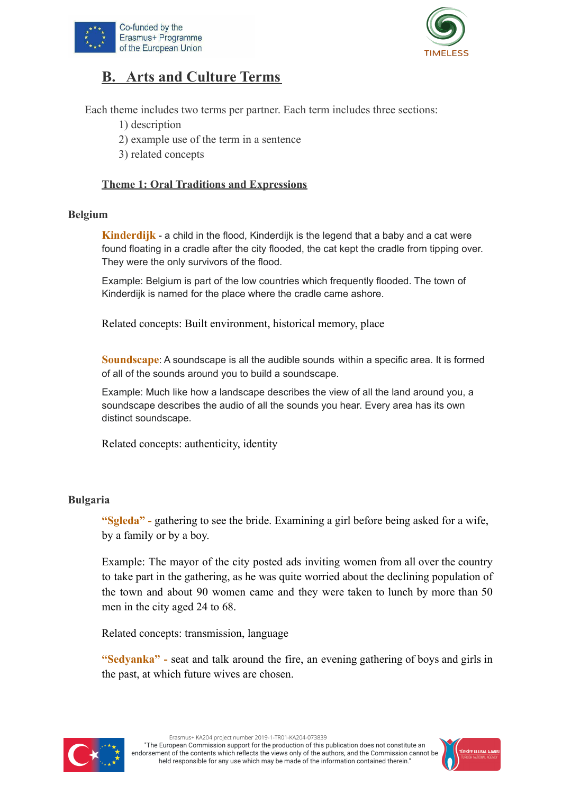



## **B. Arts and Culture Terms**

Each theme includes two terms per partner. Each term includes three sections:

- 1) description
- 2) example use of the term in a sentence
- 3) related concepts

#### **Theme 1: Oral Traditions and Expressions**

#### **Belgium**

**Kinderdijk** - a child in the flood, Kinderdijk is the legend that a baby and a cat were found floating in a cradle after the city flooded, the cat kept the cradle from tipping over. They were the only survivors of the flood.

Example: Belgium is part of the low countries which frequently flooded. The town of Kinderdijk is named for the place where the cradle came ashore.

Related concepts: Built environment, historical memory, place

**Soundscape**: A soundscape is all the audible sounds within a specific area. It is formed of all of the sounds around you to build a soundscape.

Example: Much like how a landscape describes the view of all the land around you, a soundscape describes the audio of all the sounds you hear. Every area has its own distinct soundscape.

Related concepts: authenticity, identity

#### **Bulgaria**

**"Sgleda" -** gathering to see the bride. Examining a girl before being asked for a wife, by a family or by a boy.

Example: The mayor of the city posted ads inviting women from all over the country to take part in the gathering, as he was quite worried about the declining population of the town and about 90 women came and they were taken to lunch by more than 50 men in the city aged 24 to 68.

Related concepts: transmission, language

**"Sedyanka" -** seat and talk around the firе, аn evening gathering of boys and girls in the past, at which future wives are chosen.



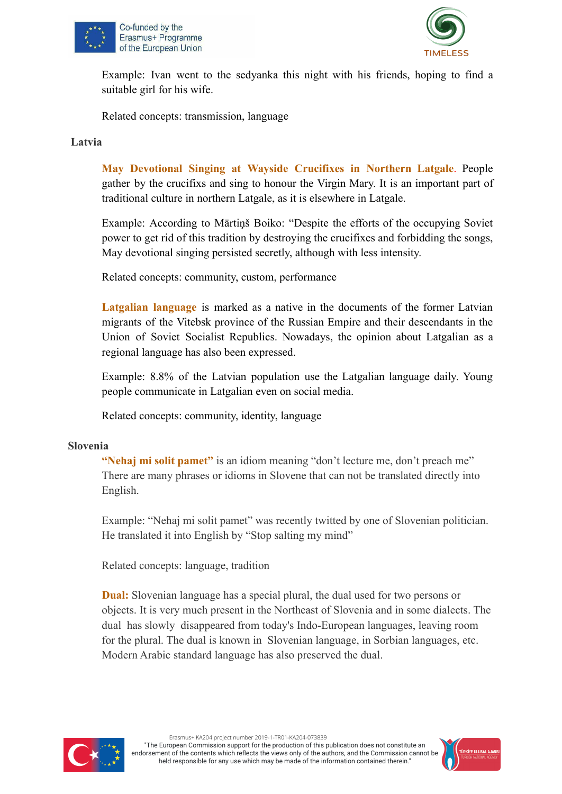



Example: Ivan went to the sedyanka this night with his friends, hoping to find a suitable girl for his wife.

Related concepts: transmission, language

#### **Latvia**

**May Devotional Singing at Wayside Crucifixes in Northern Latgale**. People gather by the crucifixs and sing to honour the Virgin Mary. It is an important part of traditional culture in northern Latgale, as it is elsewhere in Latgale.

Example: According to Mārtiņš Boiko: "Despite the efforts of the occupying Soviet power to get rid of this tradition by destroying the crucifixes and forbidding the songs, May devotional singing persisted secretly, although with less intensity.

Related concepts: community, custom, performance

**Latgalian language** is marked as a native in the documents of the former Latvian migrants of the Vitebsk province of the Russian Empire and their descendants in the Union of Soviet Socialist Republics. Nowadays, the opinion about Latgalian as a regional language has also been expressed.

Example: 8.8% of the Latvian population use the Latgalian language daily. Young people communicate in Latgalian even on social media.

Related concepts: community, identity, language

#### **Slovenia**

**"Nehaj mi solit pamet"** is an idiom meaning "don't lecture me, don't preach me" There are many phrases or idioms in Slovene that can not be translated directly into English.

Example: "Nehaj mi solit pamet" was recently twitted by one of Slovenian politician. He translated it into English by "Stop salting my mind"

Related concepts: language, tradition

**Dual:** Slovenian language has a special plural, the dual used for two persons or objects. It is very much present in the Northeast of Slovenia and in some dialects. The dual has slowly disappeared from today's Indo-European languages, leaving room for the plural. The dual is known in Slovenian language, in Sorbian languages, etc. Modern Arabic standard language has also preserved the dual.



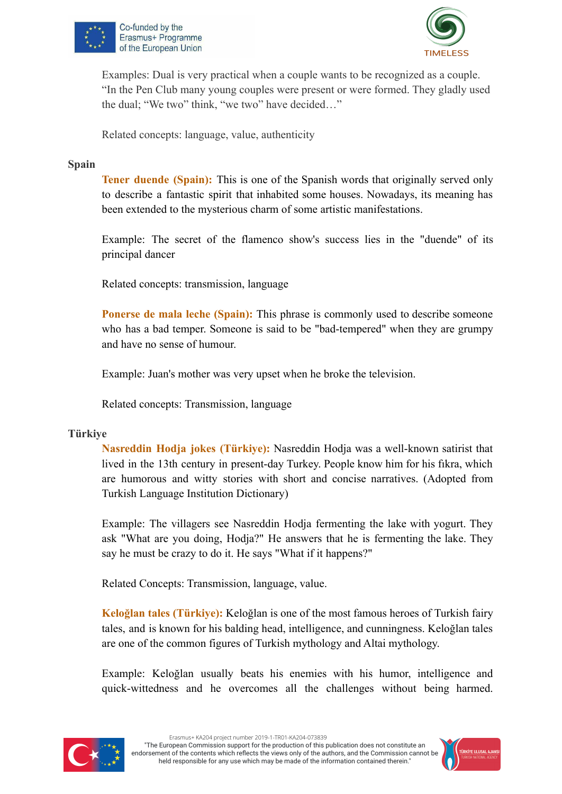



Examples: Dual is very practical when a couple wants to be recognized as a couple. "In the Pen Club many young couples were present or were formed. They gladly used the dual; "We two" think, "we two" have decided…"

Related concepts: language, value, authenticity

#### **Spain**

**Tener duende (Spain):** This is one of the Spanish words that originally served only to describe a fantastic spirit that inhabited some houses. Nowadays, its meaning has been extended to the mysterious charm of some artistic manifestations.

Example: The secret of the flamenco show's success lies in the "duende" of its principal dancer

Related concepts: transmission, language

**Ponerse de mala leche (Spain):** This phrase is commonly used to describe someone who has a bad temper. Someone is said to be "bad-tempered" when they are grumpy and have no sense of humour.

Example: Juan's mother was very upset when he broke the television.

Related concepts: Transmission, language

#### **Türkiye**

**Nasreddin Hodja jokes (Türkiye):** Nasreddin Hodja was a well-known satirist that lived in the 13th century in present-day Turkey. People know him for his fıkra, which are humorous and witty stories with short and concise narratives. (Adopted from Turkish Language Institution Dictionary)

Example: The villagers see Nasreddin Hodja fermenting the lake with yogurt. They ask "What are you doing, Hodja?" He answers that he is fermenting the lake. They say he must be crazy to do it. He says "What if it happens?"

Related Concepts: Transmission, language, value.

**Keloğlan tales (Türkiye):** Keloğlan is one of the most famous heroes of Turkish fairy tales, and is known for his balding head, intelligence, and cunningness. Keloğlan tales are one of the common figures of Turkish mythology and Altai mythology.

Example: Keloğlan usually beats his enemies with his humor, intelligence and quick-wittedness and he overcomes all the challenges without being harmed.



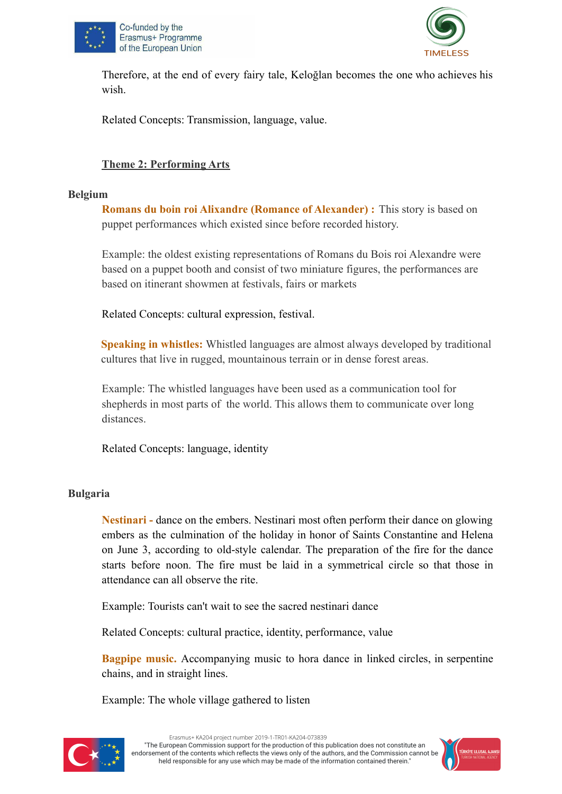



Therefore, at the end of every fairy tale, Keloğlan becomes the one who achieves his wish.

Related Concepts: Transmission, language, value.

#### **Theme 2: Performing Arts**

#### **Belgium**

**Romans du boin roi Alixandre (Romance of Alexander) :** This story is based on puppet performances which existed since before recorded history.

Example: the oldest existing representations of Romans du Bois roi Alexandre were based on a puppet booth and consist of two miniature figures, the performances are based on itinerant showmen at festivals, fairs or markets

Related Concepts: cultural expression, festival.

**Speaking in whistles:** Whistled languages are almost always developed by traditional cultures that live in rugged, mountainous terrain or in dense forest areas.

Example: The whistled languages have been used as a communication tool for shepherds in most parts of the world. This allows them to communicate over long distances.

Related Concepts: language, identity

#### **Bulgaria**

**Nestinari -** dance on the еmbers. Nestinari most often perform their dance on glowing embers as the culmination of the holiday in honor of Saints Constantine and Helena on June 3, according to old-style calendar. The preparation of the fire for the dance starts before noon. The fire must be laid in a symmetrical circle so that those in attendance can all observe the rite.

Example: Tourists can't wait to see the sacred nestinari dance

Related Concepts: cultural practice, identity, performance, value

**Bagpipe music.** Аccompanying music to hora dance in linked circles, in serpentine chains, and in straight lines.

Еxample: The whole village gathered to listen



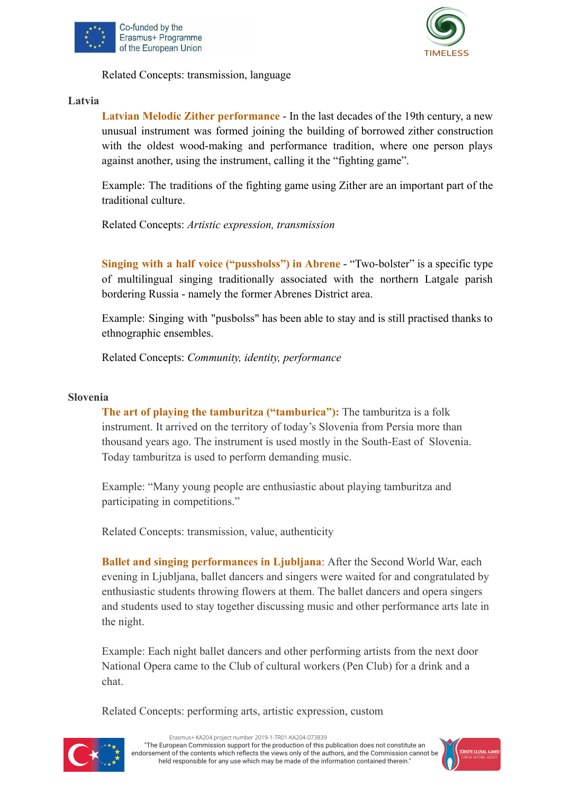



Related Concepts: transmission, language

#### **Latvia**

**Latvian Melodic Zither performance** - In the last decades of the 19th century, a new unusual instrument was formed joining the building of borrowed zither construction with the oldest wood-making and performance tradition, where one person plays against another, using the instrument, calling it the "fighting game".

Example: The traditions of the fighting game using Zither are an important part of the traditional culture.

Related Concepts: *Artistic expression, transmission*

**Singing with a half voice ("pussbolss") in Abrene** - "Two-bolster" is a specific type of multilingual singing traditionally associated with the northern Latgale parish bordering Russia - namely the former Abrenes District area.

Example: Singing with "pusbolss" has been able to stay and is still practised thanks to ethnographic ensembles.

Related Concepts: *Community, identity, performance*

#### **Slovenia**

**The art of playing the tamburitza ("tamburica"):** The tamburitza is a folk instrument. It arrived on the territory of today's Slovenia from Persia more than thousand years ago. The instrument is used mostly in the South-East of Slovenia. Today tamburitza is used to perform demanding music.

Example: "Many young people are enthusiastic about playing tamburitza and participating in competitions."

Related Concepts: transmission, value, authenticity

**Ballet and singing performances in Ljubljana**: After the Second World War, each evening in Ljubljana, ballet dancers and singers were waited for and congratulated by enthusiastic students throwing flowers at them. The ballet dancers and opera singers and students used to stay together discussing music and other performance arts late in the night.

Example: Each night ballet dancers and other performing artists from the next door National Opera came to the Club of cultural workers (Pen Club) for a drink and a chat.

Related Concepts: performing arts, artistic expression, custom



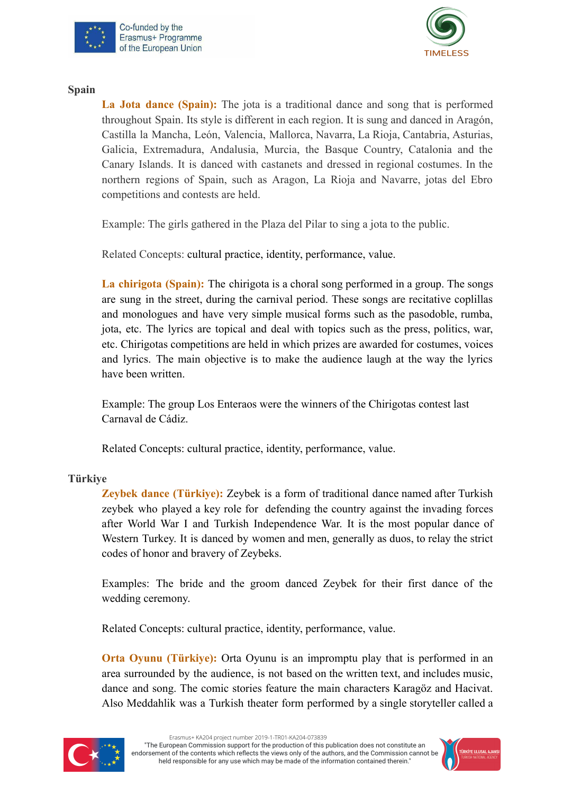



**Spain**

**La Jota dance (Spain):** The jota is a traditional dance and song that is performed throughout Spain. Its style is different in each region. It is sung and danced in Aragón, Castilla la Mancha, León, Valencia, Mallorca, Navarra, La Rioja, Cantabria, Asturias, Galicia, Extremadura, Andalusia, Murcia, the Basque Country, Catalonia and the Canary Islands. It is danced with castanets and dressed in regional costumes. In the northern regions of Spain, such as Aragon, La Rioja and Navarre, jotas del Ebro competitions and contests are held.

Example: The girls gathered in the Plaza del Pilar to sing a jota to the public.

Related Concepts: cultural practice, identity, performance, value.

**La chirigota (Spain):** The chirigota is a choral song performed in a group. The songs are sung in the street, during the carnival period. These songs are recitative coplillas and monologues and have very simple musical forms such as the pasodoble, rumba, jota, etc. The lyrics are topical and deal with topics such as the press, politics, war, etc. Chirigotas competitions are held in which prizes are awarded for costumes, voices and lyrics. The main objective is to make the audience laugh at the way the lyrics have been written.

Example: The group Los Enteraos were the winners of the Chirigotas contest last Carnaval de Cádiz.

Related Concepts: cultural practice, identity, performance, value.

#### **Türkiye**

**Zeybek dance (Türkiye):** Zeybek is a form of traditional dance named after Turkish zeybek who played a key role for defending the country against the invading forces after World War I and Turkish Independence War. It is the most popular dance of Western Turkey. It is danced by women and men, generally as duos, to relay the strict codes of honor and bravery of Zeybeks.

Examples: The bride and the groom danced Zeybek for their first dance of the wedding ceremony.

Related Concepts: cultural practice, identity, performance, value.

**Orta Oyunu (Türkiye):** Orta Oyunu is an impromptu play that is performed in an area surrounded by the audience, is not based on the written text, and includes music, dance and song. The comic stories feature the main characters Karagöz and Hacivat. Also Meddahlik was a Turkish theater form performed by a single storyteller called a



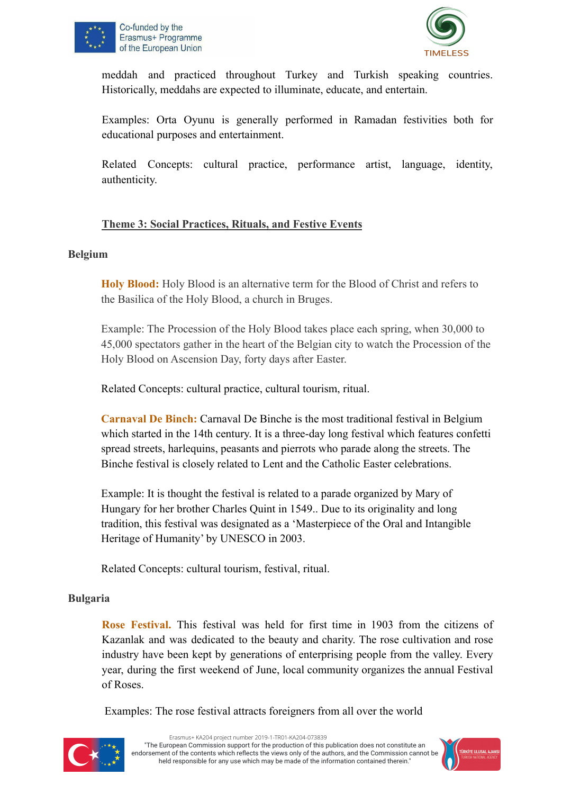



meddah and practiced throughout Turkey and Turkish speaking countries. Historically, meddahs are expected to illuminate, educate, and entertain.

Examples: Orta Oyunu is generally performed in Ramadan festivities both for educational purposes and entertainment.

Related Concepts: cultural practice, performance artist, language, identity, authenticity.

#### **Theme 3: Social Practices, Rituals, and Festive Events**

#### **Belgium**

**Holy Blood:** Holy Blood is an alternative term for the Blood of Christ and refers to the Basilica of the Holy Blood, a church in Bruges.

Example: The Procession of the Holy Blood takes place each spring, when 30,000 to 45,000 spectators gather in the heart of the Belgian city to watch the Procession of the Holy Blood on Ascension Day, forty days after Easter.

Related Concepts: cultural practice, cultural tourism, ritual.

**Carnaval De Binch:** Carnaval De Binche is the most traditional festival in Belgium which started in the 14th century. It is a three-day long festival which features confetti spread streets, harlequins, peasants and pierrots who parade along the streets. The Binche festival is closely related to Lent and the Catholic Easter celebrations.

Example: It is thought the festival is related to a parade organized by Mary of Hungary for her brother Charles Quint in 1549.. Due to its originality and long tradition, this festival was designated as a 'Masterpiece of the Oral and Intangible Heritage of Humanity' by UNESCO in 2003.

Related Concepts: cultural tourism, festival, ritual.

#### **Bulgaria**

**Rose Festival.** This festival was held for first time in 1903 from the citizens of Kazanlak and was dedicated to the beauty and charity. The rose cultivation and rose industry have been kept by generations of enterprising people from the valley. Every year, during the first weekend of June, local community organizes the annual Festival of Roses.

Examples: Тhe rose festival attracts foreigners from all over the world



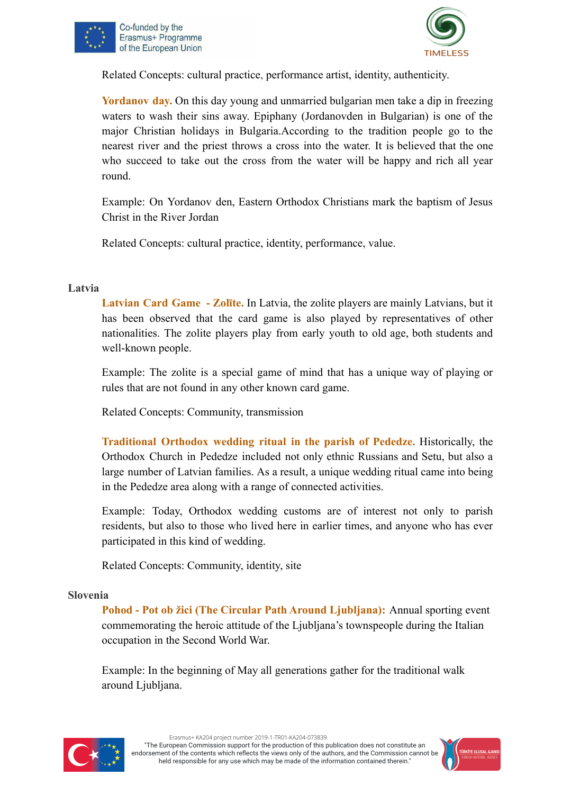



Related Concepts: cultural practice, performance artist, identity, authenticity.

**Yordanov day.** On this day young and unmarried bulgarian men take a dip in freezing waters to wash their sins away. Epiphany (Jordanovden in Bulgarian) is one of the major Christian holidays in Bulgaria.According to the tradition people go to the nearest river and the priest throws a cross into the water. It is believed that the one who succeed to take out the cross from the water will be happy and rich all year round.

Example: On Yordanov den, Eastern Orthodox Christians mark the baptism of Jesus Christ in the River Jordan

Related Concepts: cultural practice, identity, performance, value.

#### **Latvia**

**Latvian Card Game - Zolīte.** In Latvia, the zolite players are mainly Latvians, but it has been observed that the card game is also played by representatives of other nationalities. The zolite players play from early youth to old age, both students and well-known people.

Example: The zolite is a special game of mind that has a unique way of playing or rules that are not found in any other known card game.

Related Concepts: Community, transmission

**Traditional Orthodox wedding ritual in the parish of Pededze.** Historically, the Orthodox Church in Pededze included not only ethnic Russians and Setu, but also a large number of Latvian families. As a result, a unique wedding ritual came into being in the Pededze area along with a range of connected activities.

Example: Today, Orthodox wedding customs are of interest not only to parish residents, but also to those who lived here in earlier times, and anyone who has ever participated in this kind of wedding.

Related Concepts: Community, identity, site

#### **Slovenia**

**Pohod - Pot ob žici (The Circular Path Around Ljubljana):** Annual sporting event commemorating the heroic attitude of the Ljubljana's townspeople during the Italian occupation in the Second World War.

Example: In the beginning of May all generations gather for the traditional walk around Ljubljana.



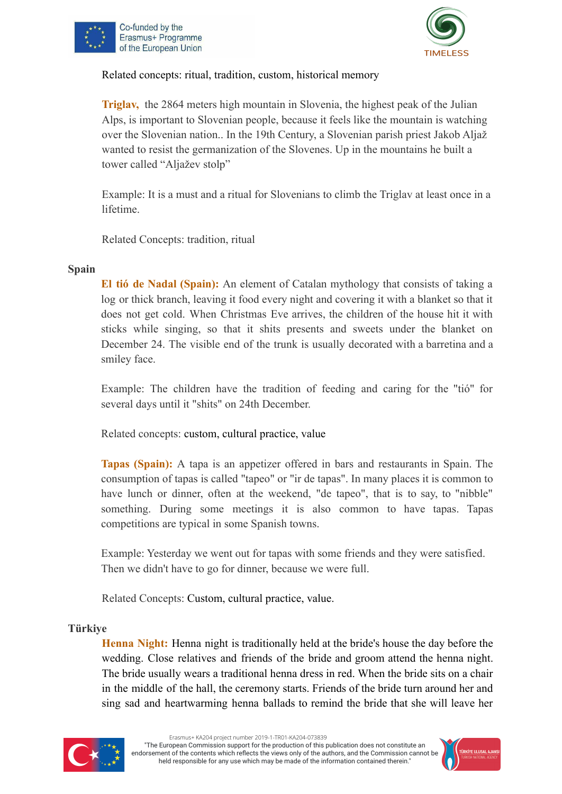



Related concepts: ritual, tradition, custom, historical memory

**Triglav,** the 2864 meters high mountain in Slovenia, the highest peak of the Julian Alps, is important to Slovenian people, because it feels like the mountain is watching over the Slovenian nation.. In the 19th Century, a Slovenian parish priest Jakob Aljaž wanted to resist the germanization of the Slovenes. Up in the mountains he built a tower called "Aljažev stolp"

Example: It is a must and a ritual for Slovenians to climb the Triglav at least once in a lifetime.

Related Concepts: tradition, ritual

#### **Spain**

**El tió de Nadal (Spain):** An element of Catalan mythology that consists of taking a log or thick branch, leaving it food every night and covering it with a blanket so that it does not get cold. When Christmas Eve arrives, the children of the house hit it with sticks while singing, so that it shits presents and sweets under the blanket on December 24. The visible end of the trunk is usually decorated with a barretina and a smiley face.

Example: The children have the tradition of feeding and caring for the "tió" for several days until it "shits" on 24th December.

Related concepts: custom, cultural practice, value

**Tapas (Spain):** A tapa is an appetizer offered in bars and restaurants in Spain. The consumption of tapas is called "tapeo" or "ir de tapas". In many places it is common to have lunch or dinner, often at the weekend, "de tapeo", that is to say, to "nibble" something. During some meetings it is also common to have tapas. Tapas competitions are typical in some Spanish towns.

Example: Yesterday we went out for tapas with some friends and they were satisfied. Then we didn't have to go for dinner, because we were full.

Related Concepts: Custom, cultural practice, value.

#### **Türkiye**

**Henna Night:** Henna night is traditionally held at the bride's house the day before the wedding. Close relatives and friends of the bride and groom attend the henna night. The bride usually wears a traditional henna dress in red. When the bride sits on a chair in the middle of the hall, the ceremony starts. Friends of the bride turn around her and sing sad and heartwarming henna ballads to remind the bride that she will leave her



Erasmus+ KA204 project number 2019-1-TR01-KA204-073839

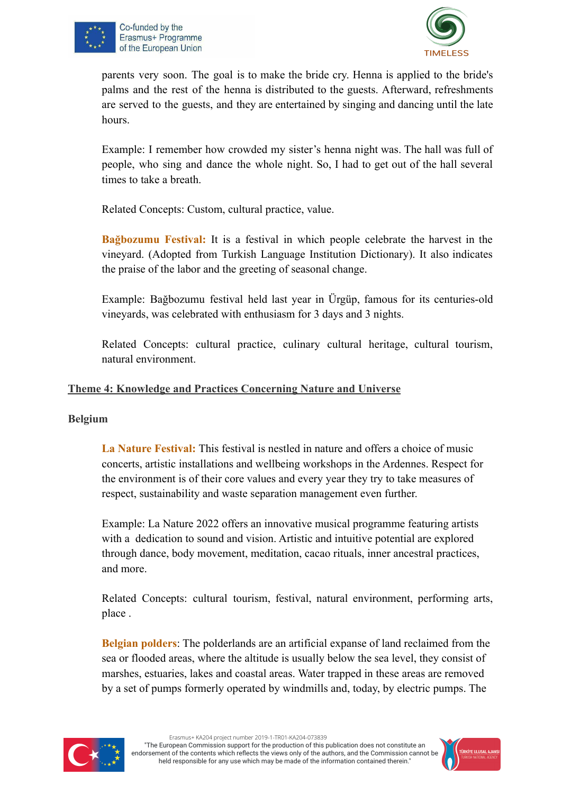



parents very soon. The goal is to make the bride cry. Henna is applied to the bride's palms and the rest of the henna is distributed to the guests. Afterward, refreshments are served to the guests, and they are entertained by singing and dancing until the late hours.

Example: I remember how crowded my sister's henna night was. The hall was full of people, who sing and dance the whole night. So, I had to get out of the hall several times to take a breath.

Related Concepts: Custom, cultural practice, value.

**Bağbozumu Festival:** It is a festival in which people celebrate the harvest in the vineyard. (Adopted from Turkish Language Institution Dictionary). It also indicates the praise of the labor and the greeting of seasonal change.

Example: Bağbozumu festival held last year in Ürgüp, famous for its centuries-old vineyards, was celebrated with enthusiasm for 3 days and 3 nights.

Related Concepts: cultural practice, culinary cultural heritage, cultural tourism, natural environment.

#### **Theme 4: Knowledge and Practices Concerning Nature and Universe**

#### **Belgium**

**La Nature Festival:** This festival is nestled in nature and offers a choice of music concerts, artistic installations and wellbeing workshops in the Ardennes. Respect for the environment is of their core values and every year they try to take measures of respect, sustainability and waste separation management even further.

Example: La Nature 2022 offers an innovative musical programme featuring artists with a dedication to sound and vision. Artistic and intuitive potential are explored through dance, body movement, meditation, cacao rituals, inner ancestral practices, and more.

Related Concepts: cultural tourism, festival, natural environment, performing arts, place .

**Belgian polders**: The polderlands are an artificial expanse of land reclaimed from the sea or flooded areas, where the altitude is usually below the sea level, they consist of marshes, estuaries, lakes and coastal areas. Water trapped in these areas are removed by a set of pumps formerly operated by windmills and, today, by electric pumps. The



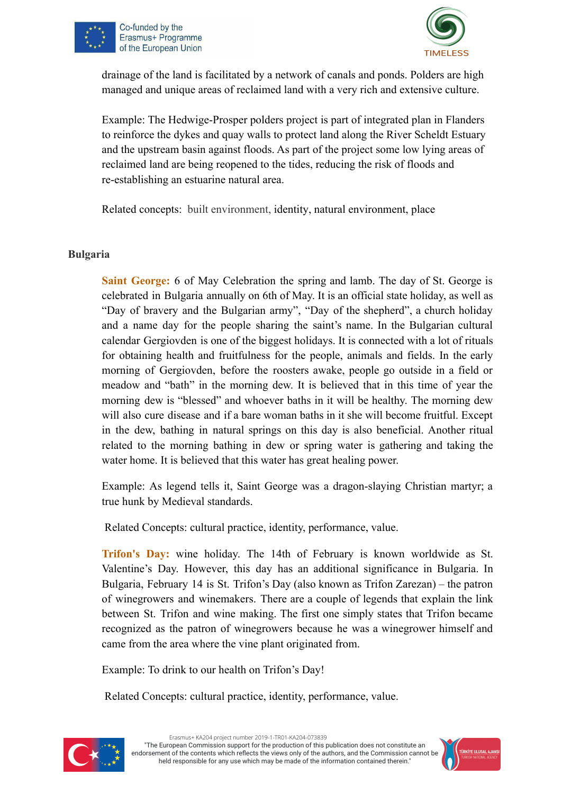



drainage of the land is facilitated by a network of canals and ponds. Polders are high managed and unique areas of reclaimed land with a very rich and extensive culture.

Example: The Hedwige-Prosper polders project is part of integrated plan in Flanders to reinforce the dykes and quay walls to protect land along the River Scheldt Estuary and the upstream basin against floods. As part of the project some low lying areas of reclaimed land are being reopened to the tides, reducing the risk of floods and re-establishing an estuarine natural area.

Related concepts: built environment, identity, natural environment, place

#### **Bulgaria**

**Saint George:** 6 of May Celebration the spring and lamb. The day of St. George is celebrated in Bulgaria annually on 6th of May. It is an official state holiday, as well as "Day of bravery and the Bulgarian army", "Day of the shepherd", a church holiday and a name day for the people sharing the saint's name. In the Bulgarian cultural calendar Gergiovden is one of the biggest holidays. It is connected with a lot of rituals for obtaining health and fruitfulness for the people, animals and fields. In the early morning of Gergiovden, before the roosters awake, people go outside in a field or meadow and "bath" in the morning dew. It is believed that in this time of year the morning dew is "blessed" and whoever baths in it will be healthy. The morning dew will also cure disease and if a bare woman baths in it she will become fruitful. Except in the dew, bathing in natural springs on this day is also beneficial. Another ritual related to the morning bathing in dew or spring water is gathering and taking the water home. It is believed that this water has great healing power.

Example: As legend tells it, Saint George was a dragon-slaying Christian martyr; a true hunk by Medieval standards.

Related Concepts: cultural practice, identity, performance, value.

**Trifon's Day:** wine holiday. The 14th of February is known worldwide as St. Valentine's Day. However, this day has an additional significance in Bulgaria. In Bulgaria, February 14 is St. Trifon's Day (also known as Trifon Zarezan) – the patron of winegrowers and winemakers. There are a couple of legends that explain the link between St. Trifon and wine making. The first one simply states that Trifon became recognized as the patron of winegrowers because he was a winegrower himself and came from the area where the vine plant originated from.

Еxample: To drink to our health on Trifon's Day!

Related Concepts: cultural practice, identity, performance, value.



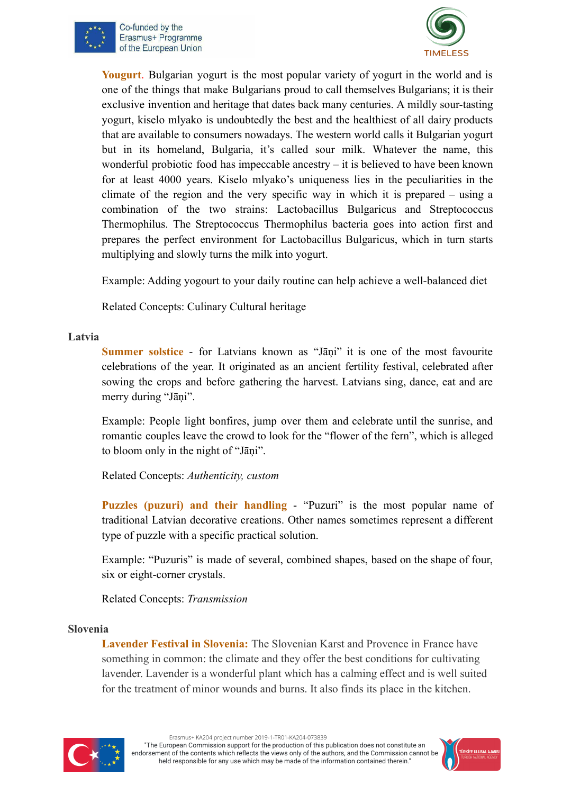



**Yougurt**. Bulgarian yogurt is the most popular variety of yogurt in the world and is one of the things that make Bulgarians proud to call themselves Bulgarians; it is their exclusive invention and heritage that dates back many centuries. A mildly sour-tasting yogurt, kiselo mlyako is undoubtedly the best and the healthiest of all dairy products that are available to consumers nowadays. The western world calls it Bulgarian yogurt but in its homeland, Bulgaria, it's called sour milk. Whatever the name, this wonderful probiotic food has impeccable ancestry – it is believed to have been known for at least 4000 years. Kiselo mlyako's uniqueness lies in the peculiarities in the climate of the region and the very specific way in which it is prepared – using a combination of the two strains: Lactobacillus Bulgaricus and Streptococcus Thermophilus. The Streptococcus Thermophilus bacteria goes into action first and prepares the perfect environment for Lactobacillus Bulgaricus, which in turn starts multiplying and slowly turns the milk into yogurt.

Example: Adding yogourt to your daily routine can help achieve a well-balanced diet

Related Concepts: Culinary Cultural heritage

#### **Latvia**

**Summer solstice** - for Latvians known as "Jāņi" it is one of the most favourite celebrations of the year. It originated as an ancient fertility festival, celebrated after sowing the crops and before gathering the harvest. Latvians sing, dance, eat and are merry during "Jāņi".

Example: People light bonfires, jump over them and celebrate until the sunrise, and romantic couples leave the crowd to look for the "flower of the fern", which is alleged to bloom only in the night of "Jāņi".

#### Related Concepts: *Authenticity, custom*

**Puzzles (puzuri) and their handling** - "Puzuri" is the most popular name of traditional Latvian decorative creations. Other names sometimes represent a different type of puzzle with a specific practical solution.

Example: "Puzuris" is made of several, combined shapes, based on the shape of four, six or eight-corner crystals.

Related Concepts: *Transmission*

#### **Slovenia**

**Lavender Festival in Slovenia:** The Slovenian Karst and Provence in France have something in common: the climate and they offer the best conditions for cultivating lavender. Lavender is a wonderful plant which has a calming effect and is well suited for the treatment of minor wounds and burns. It also finds its place in the kitchen.



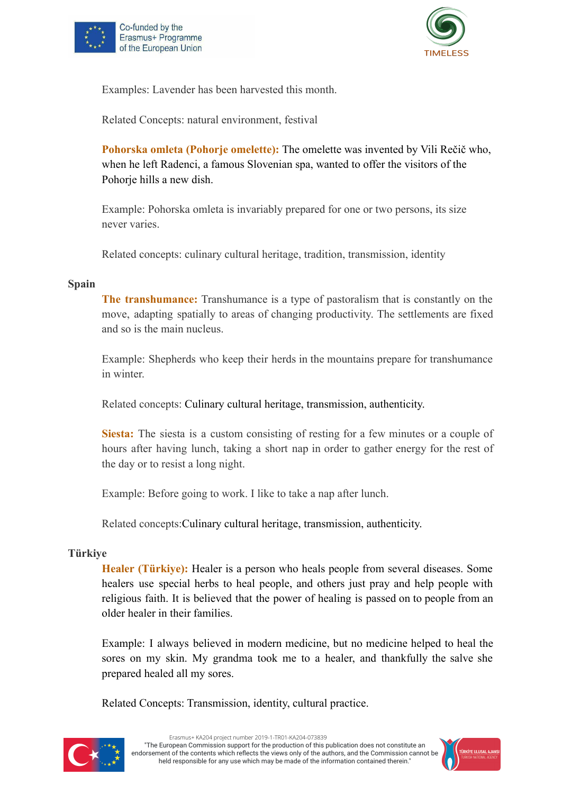



Examples: Lavender has been harvested this month.

Related Concepts: natural environment, festival

**Pohorska omleta (Pohorje omelette):** The omelette was invented by Vili Rečič who, when he left Radenci, a famous Slovenian spa, wanted to offer the visitors of the Pohorje hills a new dish.

Example: Pohorska omleta is invariably prepared for one or two persons, its size never varies.

Related concepts: culinary cultural heritage, tradition, transmission, identity

#### **Spain**

**The transhumance:** Transhumance is a type of pastoralism that is constantly on the move, adapting spatially to areas of changing productivity. The settlements are fixed and so is the main nucleus.

Example: Shepherds who keep their herds in the mountains prepare for transhumance in winter.

Related concepts: Culinary cultural heritage, transmission, authenticity.

**Siesta:** The siesta is a custom consisting of resting for a few minutes or a couple of hours after having lunch, taking a short nap in order to gather energy for the rest of the day or to resist a long night.

Example: Before going to work. I like to take a nap after lunch.

Related concepts:Culinary cultural heritage, transmission, authenticity.

#### **Türkiye**

**Healer (Türkiye):** Healer is a person who heals people from several diseases. Some healers use special herbs to heal people, and others just pray and help people with religious faith. It is believed that the power of healing is passed on to people from an older healer in their families.

Example: I always believed in modern medicine, but no medicine helped to heal the sores on my skin. My grandma took me to a healer, and thankfully the salve she prepared healed all my sores.

Related Concepts: Transmission, identity, cultural practice.



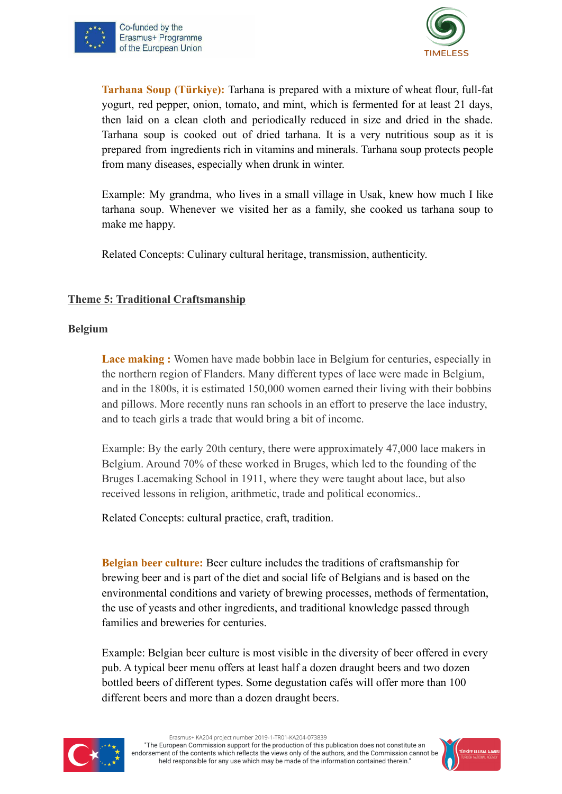



**Tarhana Soup (Türkiye):** Tarhana is prepared with a mixture of wheat flour, full-fat yogurt, red pepper, onion, tomato, and mint, which is fermented for at least 21 days, then laid on a clean cloth and periodically reduced in size and dried in the shade. Tarhana soup is cooked out of dried tarhana. It is a very nutritious soup as it is prepared from ingredients rich in vitamins and minerals. Tarhana soup protects people from many diseases, especially when drunk in winter.

Example: My grandma, who lives in a small village in Usak, knew how much I like tarhana soup. Whenever we visited her as a family, she cooked us tarhana soup to make me happy.

Related Concepts: Culinary cultural heritage, transmission, authenticity.

#### **Theme 5: Traditional Craftsmanship**

#### **Belgium**

**Lace making :** Women have made bobbin lace in Belgium for centuries, especially in the northern region of Flanders. Many different types of lace were made in Belgium, and in the 1800s, it is estimated 150,000 women earned their living with their bobbins and pillows. More recently nuns ran schools in an effort to preserve the lace industry, and to teach girls a trade that would bring a bit of income.

Example: By the early 20th century, there were approximately 47,000 lace makers in Belgium. Around 70% of these worked in Bruges, which led to the founding of the Bruges Lacemaking School in 1911, where they were taught about lace, but also received lessons in religion, arithmetic, trade and political economics..

Related Concepts: cultural practice, craft, tradition.

**Belgian beer culture:** Beer culture includes the traditions of craftsmanship for brewing beer and is part of the diet and social life of Belgians and is based on the environmental conditions and variety of brewing processes, methods of fermentation, the use of yeasts and other ingredients, and traditional knowledge passed through families and breweries for centuries.

Example: Belgian beer culture is most visible in the diversity of beer offered in every pub. A typical beer menu offers at least half a dozen draught beers and two dozen bottled beers of different types. Some degustation cafés will offer more than 100 different beers and more than a dozen draught beers.



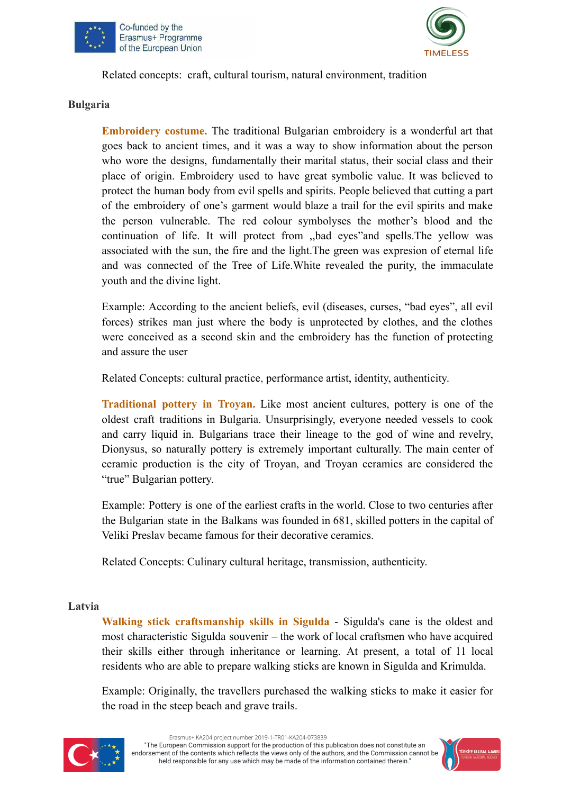



Related concepts: craft, cultural tourism, natural environment, tradition

#### **Bulgaria**

**Embroidery costume.** The traditional Bulgarian embroidery is a wonderful art that goes back to ancient times, and it was a way to show information about the person who wore the designs, fundamentally their marital status, their social class and their place of origin. Embroidery used to have great symbolic value. It was believed to protect the human body from evil spells and spirits. People believed that cutting a part of the embroidery of one's garment would blaze a trail for the evil spirits and make the person vulnerable. Тhe red colour symbolyses the mother's blood and the continuation of life. It will protect from ,,bad eyes"and spells.The yellow was associated with the sun, the fire and the light.The green was expresion of eternal life and was connected of the Tree of Life.White revealed the purity, the immaculate youth and the divine light.

Example: According to the ancient beliefs, evil (diseases, curses, "bad eyes", all evil forces) strikes man just where the body is unprotected by clothes, and the clothes were conceived as a second skin and the embroidery has the function of protecting and assure the user

Related Concepts: cultural practice, performance artist, identity, authenticity.

**Traditional pottery in Troyan.** Like most ancient cultures, pottery is one of the oldest craft traditions in Bulgaria. Unsurprisingly, everyone needed vessels to cook and carry liquid in. Bulgarians trace their lineage to the god of wine and revelry, Dionysus, so naturally pottery is extremely important culturally. The main center of ceramic production is the city of Troyan, and Troyan ceramics are considered the "true" Bulgarian pottery.

Еxample: Pottery is one of the earliest crafts in the world. Close to two centuries after the Bulgarian state in the Balkans was founded in 681, skilled potters in the capital of Veliki Preslav became famous for their decorative ceramics.

Related Concepts: Culinary cultural heritage, transmission, authenticity.

#### **Latvia**

**Walking stick craftsmanship skills in Sigulda** - Sigulda's cane is the oldest and most characteristic Sigulda souvenir – the work of local craftsmen who have acquired their skills either through inheritance or learning. At present, a total of 11 local residents who are able to prepare walking sticks are known in Sigulda and Krimulda.

Example: Originally, the travellers purchased the walking sticks to make it easier for the road in the steep beach and grave trails.



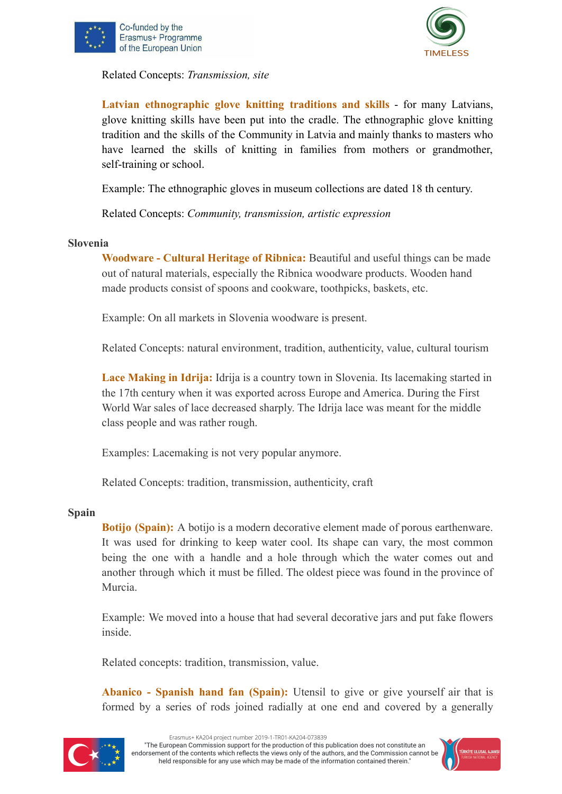





**Latvian ethnographic glove knitting traditions and skills** - for many Latvians, glove knitting skills have been put into the cradle. The ethnographic glove knitting tradition and the skills of the Community in Latvia and mainly thanks to masters who have learned the skills of knitting in families from mothers or grandmother, self-training or school.

Example: The ethnographic gloves in museum collections are dated 18 th century.

Related Concepts: *Community, transmission, artistic expression*

#### **Slovenia**

**Woodware - Cultural Heritage of Ribnica:** Beautiful and useful things can be made out of natural materials, especially the Ribnica woodware products. Wooden hand made products consist of spoons and cookware, toothpicks, baskets, etc.

Example: On all markets in Slovenia woodware is present.

Related Concepts: natural environment, tradition, authenticity, value, cultural tourism

**Lace Making in Idrija:** Idrija is a country town in Slovenia. Its lacemaking started in the 17th century when it was exported across Europe and America. During the First World War sales of lace decreased sharply. The Idrija lace was meant for the middle class people and was rather rough.

Examples: Lacemaking is not very popular anymore.

Related Concepts: tradition, transmission, authenticity, craft

#### **Spain**

**Botijo (Spain):** A botijo is a modern decorative element made of porous earthenware. It was used for drinking to keep water cool. Its shape can vary, the most common being the one with a handle and a hole through which the water comes out and another through which it must be filled. The oldest piece was found in the province of Murcia.

Example: We moved into a house that had several decorative jars and put fake flowers inside.

Related concepts: tradition, transmission, value.

**Abanico - Spanish hand fan (Spain):** Utensil to give or give yourself air that is formed by a series of rods joined radially at one end and covered by a generally



Erasmus+ KA204 project number 2019-1-TR01-KA204-073839

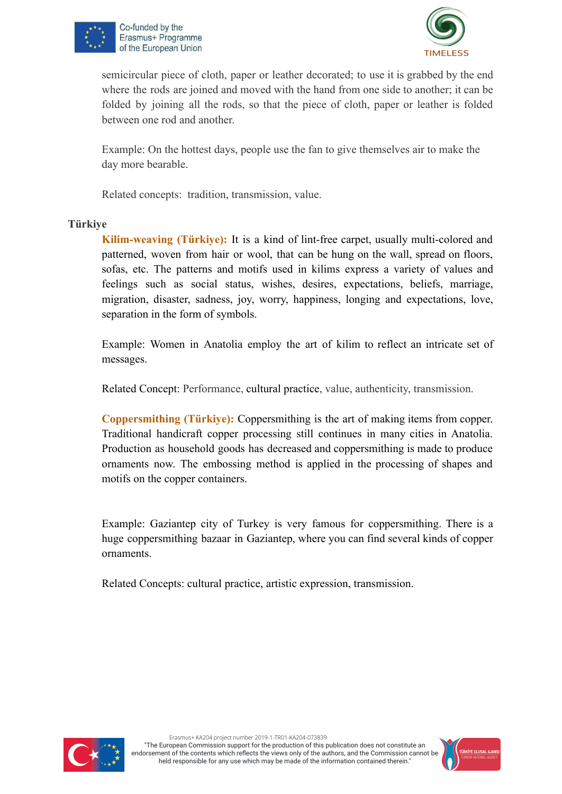



semicircular piece of cloth, paper or leather decorated; to use it is grabbed by the end where the rods are joined and moved with the hand from one side to another; it can be folded by joining all the rods, so that the piece of cloth, paper or leather is folded between one rod and another.

Example: On the hottest days, people use the fan to give themselves air to make the day more bearable.

Related concepts: tradition, transmission, value.

#### **Türkiye**

**Kilim-weaving (Türkiye):** It is a kind of lint-free carpet, usually multi-colored and patterned, woven from hair or wool, that can be hung on the wall, spread on floors, sofas, etc. The patterns and motifs used in kilims express a variety of values and feelings such as social status, wishes, desires, expectations, beliefs, marriage, migration, disaster, sadness, joy, worry, happiness, longing and expectations, love, separation in the form of symbols.

Example: Women in Anatolia employ the art of kilim to reflect an intricate set of messages.

Related Concept: Performance, cultural practice, value, authenticity, transmission.

**Coppersmithing (Türkiye):** Coppersmithing is the art of making items from copper. Traditional handicraft copper processing still continues in many cities in Anatolia. Production as household goods has decreased and coppersmithing is made to produce ornaments now. The embossing method is applied in the processing of shapes and motifs on the copper containers.

Example: Gaziantep city of Turkey is very famous for coppersmithing. There is a huge coppersmithing bazaar in Gaziantep, where you can find several kinds of copper ornaments.

Related Concepts: cultural practice, artistic expression, transmission.



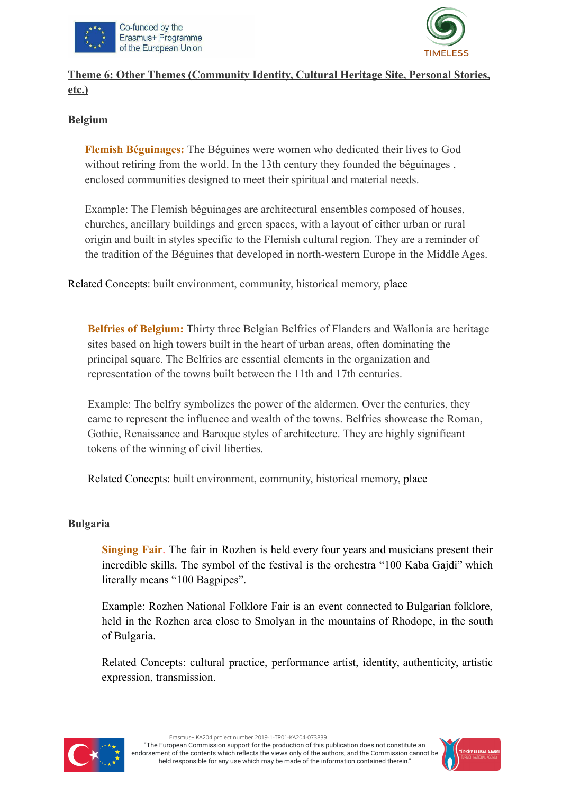



### **Theme 6: Other Themes (Community Identity, Cultural Heritage Site, Personal Stories, etc.)**

#### **Belgium**

**Flemish Béguinages:** The Béguines were women who dedicated their lives to God without retiring from the world. In the 13th century they founded the béguinages, enclosed communities designed to meet their spiritual and material needs.

Example: The Flemish béguinages are architectural ensembles composed of houses, churches, ancillary buildings and green spaces, with a layout of either urban or rural origin and built in styles specific to the Flemish cultural region. They are a reminder of the tradition of the Béguines that developed in north-western Europe in the Middle Ages.

Related Concepts: built environment, community, historical memory, place

**Belfries of Belgium:** Thirty three Belgian Belfries of Flanders and Wallonia are heritage sites based on high towers built in the heart of urban areas, often dominating the principal square. The Belfries are essential elements in the organization and representation of the towns built between the 11th and 17th centuries.

Example: The belfry symbolizes the power of the aldermen. Over the centuries, they came to represent the influence and wealth of the towns. Belfries showcase the Roman, Gothic, Renaissance and Baroque styles of architecture. They are highly significant tokens of the winning of civil liberties.

Related Concepts: built environment, community, historical memory, place

#### **Bulgaria**

**Singing Fair**. The fair in Rozhen is held every four years and musicians present their incredible skills. The symbol of the festival is the orchestra "100 Kaba Gajdi" which literally means "100 Bagpipes".

Example: Rozhen National Folklore Fair is an event connected to Bulgarian folklore, held in the Rozhen area close to Smolyan in the mountains of Rhodope, in the south of Bulgaria.

Related Concepts: cultural practice, performance artist, identity, authenticity, artistic expression, transmission.



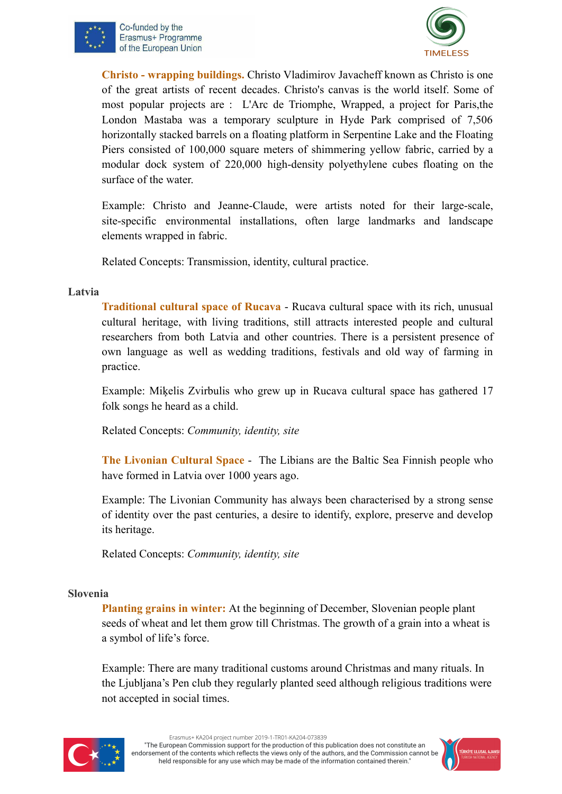



**Christo - wrapping buildings.** Christo Vladimirov Javacheff known as Christo is one of the great artists of recent decades. Christo's canvas is the world itself. Some of most popular projects are : L'Arc de Triomphe, Wrapped, a project for Paris,the London Mastaba was a temporary sculpture in Hyde Park comprised of 7,506 horizontally stacked barrels on a floating platform in Serpentine Lake and the Floating Piers consisted of 100,000 square meters of shimmering yellow fabric, carried by a modular dock system of 220,000 high-density polyethylene cubes floating on the surface of the water.

Example: Christo and Jeanne-Claude, were artists noted for their large-scale, site-specific environmental installations, often large landmarks and landscape elements wrapped in fabric.

Related Concepts: Transmission, identity, cultural practice.

#### **Latvia**

**Traditional cultural space of Rucava** - Rucava cultural space with its rich, unusual cultural heritage, with living traditions, still attracts interested people and cultural researchers from both Latvia and other countries. There is a persistent presence of own language as well as wedding traditions, festivals and old way of farming in practice.

Example: Miķelis Zvirbulis who grew up in Rucava cultural space has gathered 17 folk songs he heard as a child.

Related Concepts: *Community, identity, site*

**The Livonian Cultural Space** - The Libians are the Baltic Sea Finnish people who have formed in Latvia over 1000 years ago.

Example: The Livonian Community has always been characterised by a strong sense of identity over the past centuries, a desire to identify, explore, preserve and develop its heritage.

Related Concepts: *Community, identity, site*

#### **Slovenia**

**Planting grains in winter:** At the beginning of December, Slovenian people plant seeds of wheat and let them grow till Christmas. The growth of a grain into a wheat is a symbol of life's force.

Example: There are many traditional customs around Christmas and many rituals. In the Ljubljana's Pen club they regularly planted seed although religious traditions were not accepted in social times.



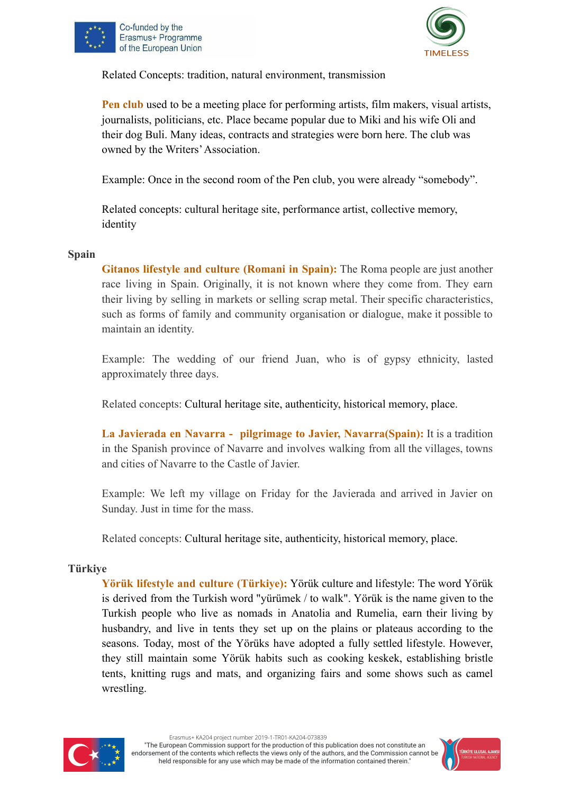



Related Concepts: tradition, natural environment, transmission

**Pen club** used to be a meeting place for performing artists, film makers, visual artists, journalists, politicians, etc. Place became popular due to Miki and his wife Oli and their dog Buli. Many ideas, contracts and strategies were born here. The club was owned by the Writers'Association.

Example: Once in the second room of the Pen club, you were already "somebody".

Related concepts: cultural heritage site, performance artist, collective memory, identity

#### **Spain**

**Gitanos lifestyle and culture (Romani in Spain):** The Roma people are just another race living in Spain. Originally, it is not known where they come from. They earn their living by selling in markets or selling scrap metal. Their specific characteristics, such as forms of family and community organisation or dialogue, make it possible to maintain an identity.

Example: The wedding of our friend Juan, who is of gypsy ethnicity, lasted approximately three days.

Related concepts: Cultural heritage site, authenticity, historical memory, place.

**La Javierada en Navarra - pilgrimage to Javier, Navarra(Spain):** It is a tradition in the Spanish province of Navarre and involves walking from all the villages, towns and cities of Navarre to the Castle of Javier.

Example: We left my village on Friday for the Javierada and arrived in Javier on Sunday. Just in time for the mass.

Related concepts: Cultural heritage site, authenticity, historical memory, place.

#### **Türkiye**

**Yörük lifestyle and culture (Türkiye):** Yörük culture and lifestyle: The word Yörük is derived from the Turkish word "yürümek / to walk". Yörük is the name given to the Turkish people who live as nomads in Anatolia and Rumelia, earn their living by husbandry, and live in tents they set up on the plains or plateaus according to the seasons. Today, most of the Yörüks have adopted a fully settled lifestyle. However, they still maintain some Yörük habits such as cooking keskek, establishing bristle tents, knitting rugs and mats, and organizing fairs and some shows such as camel wrestling.